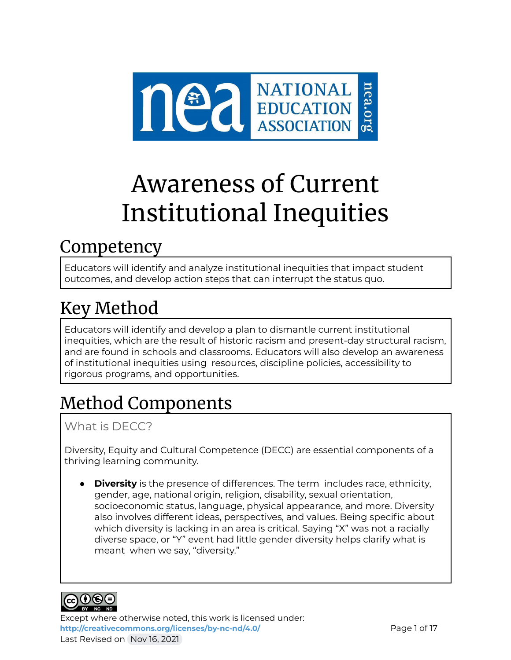

# Awareness of Current Institutional Inequities

## **Competency**

Educators will identify and analyze institutional inequities that impact student outcomes, and develop action steps that can interrupt the status quo.

## Key Method

Educators will identify and develop a plan to dismantle current institutional inequities, which are the result of historic racism and present-day structural racism, and are found in schools and classrooms. Educators will also develop an awareness of institutional inequities using resources, discipline policies, accessibility to rigorous programs, and opportunities.

## Method Components

## What is DECC?

Diversity, Equity and Cultural Competence (DECC) are essential components of a thriving learning community.

**Diversity** is the presence of differences. The term includes race, ethnicity, gender, age, national origin, religion, disability, sexual orientation, socioeconomic status, language, physical appearance, and more. Diversity also involves different ideas, perspectives, and values. Being specific about which diversity is lacking in an area is critical. Saying "X" was not a racially diverse space, or "Y" event had little gender diversity helps clarify what is meant when we say, "diversity."



Except where otherwise noted, this work is licensed under: **<http://creativecommons.org/licenses/by-nc-nd/4.0/>** Page 1 of 17 Last Revised on Nov 16, 2021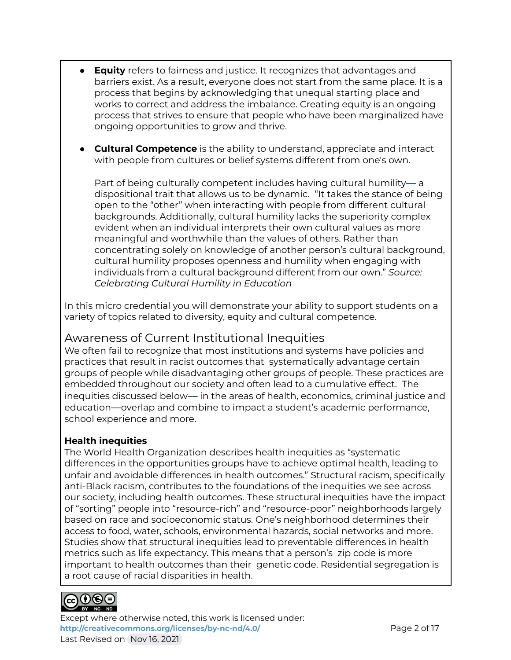- **Equity** refers to fairness and justice. It recognizes that advantages and barriers exist. As a result, everyone does not start from the same place. It is a process that begins by acknowledging that unequal starting place and works to correct and address the imbalance. Creating equity is an ongoing process that strives to ensure that people who have been marginalized have ongoing opportunities to grow and thrive.
- **Cultural Competence** is the ability to understand, appreciate and interact with people from cultures or belief systems different from one's own.

Part of being culturally competent includes having cultural humility— a dispositional trait that allows us to be dynamic. "It takes the stance of being open to the "other" when interacting with people from different cultural backgrounds. Additionally, cultural humility lacks the superiority complex evident when an individual interprets their own cultural values as more meaningful and worthwhile than the values of others. Rather than concentrating solely on knowledge of another person's cultural background, cultural humility proposes openness and humility when engaging with individuals from a cultural background different from our own." *Source: Celebrating Cultural Humility in Education*

In this micro credential you will demonstrate your ability to support students on a variety of topics related to diversity, equity and cultural competence.

### Awareness of Current Institutional Inequities

We often fail to recognize that most institutions and systems have policies and practices that result in racist outcomes that systematically advantage certain groups of people while disadvantaging other groups of people. These practices are embedded throughout our society and often lead to a cumulative effect. The inequities discussed below— in the areas of health, economics, criminal justice and education—overlap and combine to impact a student's academic performance, school experience and more.

#### **Health inequities**

The World Health Organization describes health inequities as "systematic differences in the opportunities groups have to achieve optimal health, leading to unfair and avoidable differences in health outcomes." Structural racism, specifically anti-Black racism, contributes to the foundations of the inequities we see across our society, including health outcomes. These structural inequities have the impact of "sorting" people into "resource-rich" and "resource-poor" neighborhoods largely based on race and socioeconomic status. One's neighborhood determines their access to food, water, schools, environmental hazards, social networks and more. Studies show that structural inequities lead to preventable differences in health metrics such as life expectancy. This means that a person's zip code is more important to health outcomes than their genetic code. Residential segregation is a root cause of racial disparities in health.



Except where otherwise noted, this work is licensed under: **<http://creativecommons.org/licenses/by-nc-nd/4.0/>** Page 2 of 17 Last Revised on Nov 16, 2021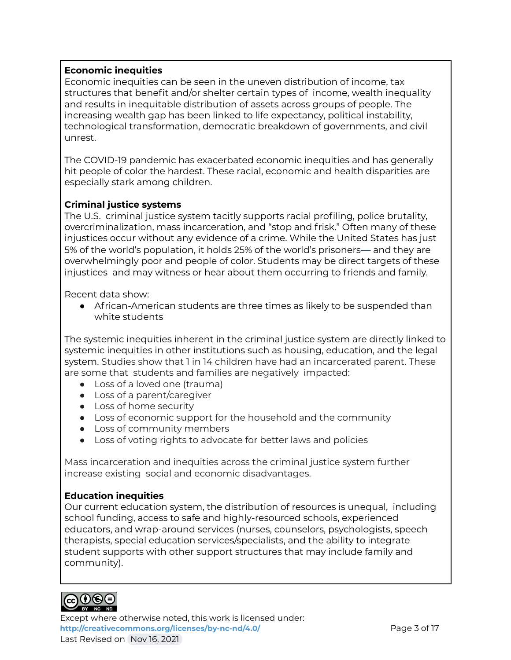#### **Economic inequities**

Economic inequities can be seen in the uneven distribution of income, tax structures that benefit and/or shelter certain types of income, wealth inequality and results in inequitable distribution of assets across groups of people. The increasing wealth gap has been linked to life expectancy, political instability, technological transformation, democratic breakdown of governments, and civil unrest.

The COVID-19 pandemic has exacerbated economic inequities and has generally hit people of color the hardest. These racial, economic and health disparities are especially stark among children.

#### **Criminal justice systems**

The U.S. criminal justice system tacitly supports racial profiling, police brutality, overcriminalization, mass incarceration, and "stop and frisk." Often many of these injustices occur without any evidence of a crime. While the United States has just 5% of the world's population, it holds 25% of the world's prisoners— and they are overwhelmingly poor and people of color. Students may be direct targets of these injustices and may witness or hear about them occurring to friends and family.

Recent data show:

● African-American students are three times as likely to be suspended than white students

The systemic inequities inherent in the criminal justice system are directly linked to systemic inequities in other institutions such as housing, education, and the legal system. Studies show that 1 in 14 children have had an incarcerated parent. These are some that students and families are negatively impacted:

- Loss of a loved one (trauma)
- Loss of a parent/caregiver
- Loss of home security
- Loss of economic support for the household and the community
- Loss of community members
- Loss of voting rights to advocate for better laws and policies

Mass incarceration and inequities across the criminal justice system further increase existing social and economic disadvantages.

#### **Education inequities**

Our current education system, the distribution of resources is unequal, including school funding, access to safe and highly-resourced schools, experienced educators, and wrap-around services (nurses, counselors, psychologists, speech therapists, special education services/specialists, and the ability to integrate student supports with other support structures that may include family and community).



Except where otherwise noted, this work is licensed under: **<http://creativecommons.org/licenses/by-nc-nd/4.0/>** Page 3 of 17 Last Revised on Nov 16, 2021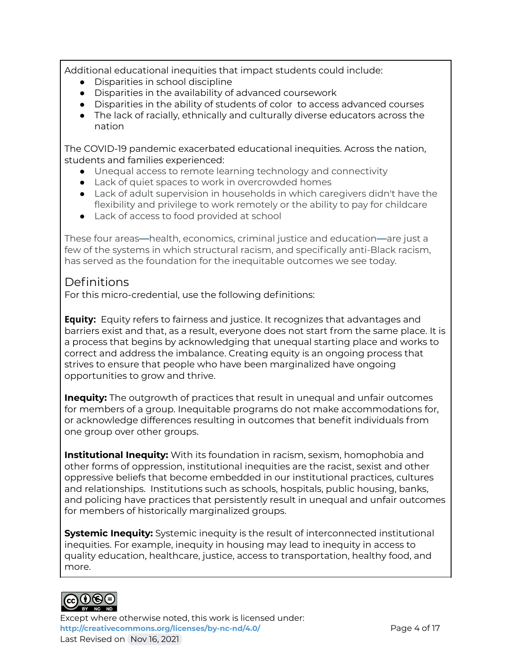Additional educational inequities that impact students could include:

- Disparities in school discipline
- Disparities in the availability of advanced coursework
- Disparities in the ability of students of color to access advanced courses
- The lack of racially, ethnically and culturally diverse educators across the nation

The COVID-19 pandemic exacerbated educational inequities. Across the nation, students and families experienced:

- Unequal access to remote learning technology and connectivity
- Lack of quiet spaces to work in overcrowded homes
- Lack of adult supervision in households in which caregivers didn't have the flexibility and privilege to work remotely or the ability to pay for childcare
- Lack of access to food provided at school

These four areas—health, economics, criminal justice and education—are just a few of the systems in which structural racism, and specifically anti-Black racism, has served as the foundation for the inequitable outcomes we see today.

#### Definitions

For this micro-credential, use the following definitions:

**Equity:** Equity refers to fairness and justice. It recognizes that advantages and barriers exist and that, as a result, everyone does not start from the same place. It is a process that begins by acknowledging that unequal starting place and works to correct and address the imbalance. Creating equity is an ongoing process that strives to ensure that people who have been marginalized have ongoing opportunities to grow and thrive.

**Inequity:** The outgrowth of practices that result in unequal and unfair outcomes for members of a group. Inequitable programs do not make accommodations for, or acknowledge differences resulting in outcomes that benefit individuals from one group over other groups.

**Institutional Inequity:** With its foundation in racism, sexism, homophobia and other forms of oppression, institutional inequities are the racist, sexist and other oppressive beliefs that become embedded in our institutional practices, cultures and relationships. Institutions such as schools, hospitals, public housing, banks, and policing have practices that persistently result in unequal and unfair outcomes for members of historically marginalized groups.

**Systemic Inequity:** Systemic inequity is the result of interconnected institutional inequities. For example, inequity in housing may lead to inequity in access to quality education, healthcare, justice, access to transportation, healthy food, and more.



Except where otherwise noted, this work is licensed under: **<http://creativecommons.org/licenses/by-nc-nd/4.0/>** Page 4 of 17 Last Revised on Nov 16, 2021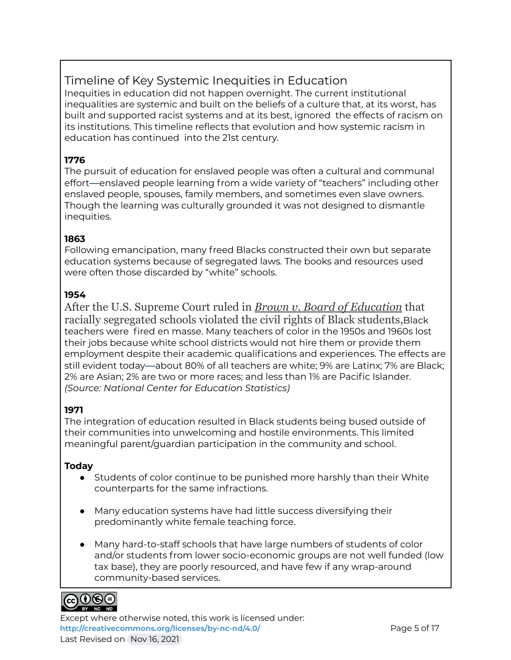### Timeline of Key Systemic Inequities in Education

Inequities in education did not happen overnight. The current institutional inequalities are systemic and built on the beliefs of a culture that, at its worst, has built and supported racist systems and at its best, ignored the effects of racism on its institutions. This timeline reflects that evolution and how systemic racism in education has continued into the 21st century.

#### **1776**

The pursuit of education for enslaved people was often a cultural and communal effort—enslaved people learning from a wide variety of "teachers" including other enslaved people, spouses, family members, and sometimes even slave owners. Though the learning was culturally grounded it was not designed to dismantle inequities.

#### **1863**

Following emancipation, many freed Blacks constructed their own but separate education systems because of segregated laws. The books and resources used were often those discarded by "white" schools.

#### **1954**

After the U.S. Supreme Court ruled in *[Brown v. Board](https://www.archives.gov/education/lessons/brown-v-board#background) of Education* that racially segregated schools violated the civil rights of Black students, Black teachers were fired en masse. Many teachers of color in the 1950s and 1960s lost their jobs because white school districts would not hire them or provide them employment despite their academic qualifications and experiences. The effects are still evident today—about 80% of all teachers are white; 9% are Latinx; 7% are Black; 2% are Asian; 2% are two or more races; and less than 1% are Pacific Islander. *(Source: National Center for Education Statistics)*

#### **1971**

The integration of education resulted in Black students being bused outside of their communities into unwelcoming and hostile environments. This limited meaningful parent/guardian participation in the community and school.

#### **Today**

- Students of color continue to be punished more harshly than their White counterparts for the same infractions.
- Many education systems have had little success diversifying their predominantly white female teaching force.
- Many hard-to-staff schools that have large numbers of students of color and/or students from lower socio-economic groups are not well funded (low tax base), they are poorly resourced, and have few if any wrap-around community-based services.



Except where otherwise noted, this work is licensed under: **<http://creativecommons.org/licenses/by-nc-nd/4.0/>** Page 5 of 17 Last Revised on Nov 16, 2021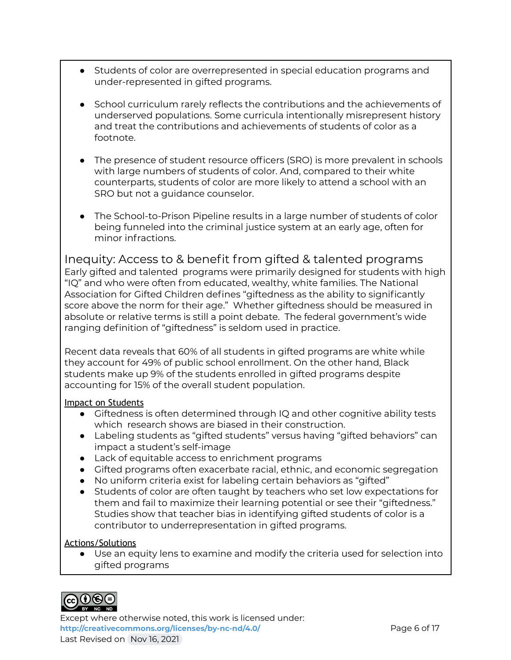- Students of color are overrepresented in special education programs and under-represented in gifted programs.
- School curriculum rarely reflects the contributions and the achievements of underserved populations. Some curricula intentionally misrepresent history and treat the contributions and achievements of students of color as a footnote.
- The presence of student resource officers (SRO) is more prevalent in schools with large numbers of students of color. And, compared to their white counterparts, students of color are more likely to attend a school with an SRO but not a guidance counselor.
- The School-to-Prison Pipeline results in a large number of students of color being funneled into the criminal justice system at an early age, often for minor infractions.

Inequity: Access to & benefit from gifted & talented programs Early gifted and talented programs were primarily designed for students with high "IQ" and who were often from educated, wealthy, white families. The National Association for Gifted Children defines "giftedness as the ability to significantly score above the norm for their age." Whether giftedness should be measured in absolute or relative terms is still a point debate. The federal government's wide ranging definition of "giftedness" is seldom used in practice.

Recent data reveals that 60% of all students in gifted programs are white while they account for 49% of public school enrollment. On the other hand, Black students make up 9% of the students enrolled in gifted programs despite accounting for 15% of the overall student population.

#### Impact on Students

- Giftedness is often determined through IQ and other cognitive ability tests which research shows are biased in their construction.
- Labeling students as "gifted students" versus having "gifted behaviors" can impact a student's self-image
- Lack of equitable access to enrichment programs
- Gifted programs often exacerbate racial, ethnic, and economic segregation
- No uniform criteria exist for labeling certain behaviors as "gifted"
- Students of color are often taught by teachers who set low expectations for them and fail to maximize their learning potential or see their "giftedness." Studies show that teacher bias in identifying gifted students of color is a contributor to underrepresentation in gifted programs.

#### Actions/Solutions

● Use an equity lens to examine and modify the criteria used for selection into gifted programs



Except where otherwise noted, this work is licensed under: <http://creativecommons.org/licenses/by-nc-nd/4.0/><br>
Page 6 of 17 Last Revised on Nov 16, 2021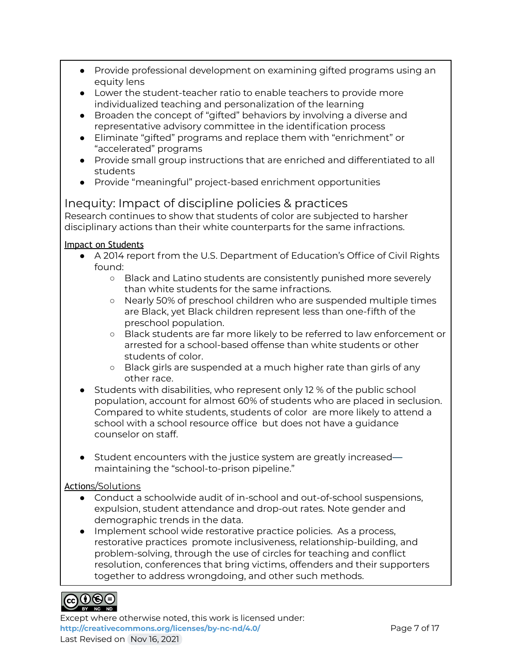- Provide professional development on examining gifted programs using an equity lens
- Lower the student-teacher ratio to enable teachers to provide more individualized teaching and personalization of the learning
- Broaden the concept of "gifted" behaviors by involving a diverse and representative advisory committee in the identification process
- Eliminate "gifted" programs and replace them with "enrichment" or "accelerated" programs
- Provide small group instructions that are enriched and differentiated to all students
- Provide "meaningful" project-based enrichment opportunities

### Inequity: Impact of discipline policies & practices

Research continues to show that students of color are subjected to harsher disciplinary actions than their white counterparts for the same infractions.

#### Impact on Students

- A 2014 report from the U.S. Department of Education's Office of Civil Rights found:
	- Black and Latino students are consistently punished more severely than white students for the same infractions.
	- Nearly 50% of preschool children who are suspended multiple times are Black, yet Black children represent less than one-fifth of the preschool population.
	- Black students are far more likely to be referred to law enforcement or arrested for a school-based offense than white students or other students of color.
	- Black girls are suspended at a much higher rate than girls of any other race.
- Students with disabilities, who represent only 12 % of the public school population, account for almost 60% of students who are placed in seclusion. Compared to white students, students of color are more likely to attend a school with a school resource office but does not have a guidance counselor on staff.
- Student encounters with the justice system are greatly increased maintaining the "school-to-prison pipeline."

#### Actions/Solutions

- Conduct a schoolwide audit of in-school and out-of-school suspensions, expulsion, student attendance and drop-out rates. Note gender and demographic trends in the data.
- Implement school wide restorative practice policies. As a process, restorative practices promote inclusiveness, relationship-building, and problem-solving, through the use of circles for teaching and conflict resolution, conferences that bring victims, offenders and their supporters together to address wrongdoing, and other such methods.



Except where otherwise noted, this work is licensed under: <http://creativecommons.org/licenses/by-nc-nd/4.0/><br>
Page 7 of 17 Last Revised on Nov 16, 2021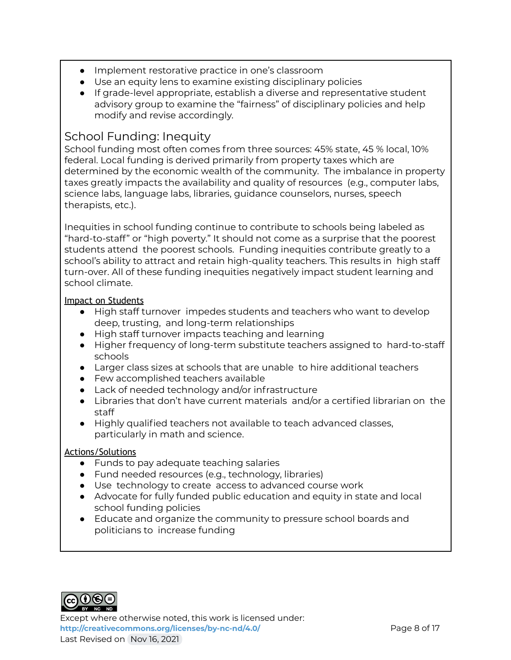- Implement restorative practice in one's classroom
- Use an equity lens to examine existing disciplinary policies
- If grade-level appropriate, establish a diverse and representative student advisory group to examine the "fairness" of disciplinary policies and help modify and revise accordingly.

#### School Funding: Inequity

School funding most often comes from three sources: 45% state, 45 % local, 10% federal. Local funding is derived primarily from property taxes which are determined by the economic wealth of the community. The imbalance in property taxes greatly impacts the availability and quality of resources (e.g., computer labs, science labs, language labs, libraries, guidance counselors, nurses, speech therapists, etc.).

Inequities in school funding continue to contribute to schools being labeled as "hard-to-staff" or "high poverty." It should not come as a surprise that the poorest students attend the poorest schools. Funding inequities contribute greatly to a school's ability to attract and retain high-quality teachers. This results in high staff turn-over. All of these funding inequities negatively impact student learning and school climate.

#### Impact on Students

- High staff turnover impedes students and teachers who want to develop deep, trusting, and long-term relationships
- High staff turnover impacts teaching and learning
- Higher frequency of long-term substitute teachers assigned to hard-to-staff schools
- Larger class sizes at schools that are unable to hire additional teachers
- Few accomplished teachers available
- Lack of needed technology and/or infrastructure
- Libraries that don't have current materials and/or a certified librarian on the staff
- Highly qualified teachers not available to teach advanced classes, particularly in math and science.

#### Actions/Solutions

- Funds to pay adequate teaching salaries
- Fund needed resources (e.g., technology, libraries)
- Use technology to create access to advanced course work
- Advocate for fully funded public education and equity in state and local school funding policies
- Educate and organize the community to pressure school boards and politicians to increase funding



Except where otherwise noted, this work is licensed under: <http://creativecommons.org/licenses/by-nc-nd/4.0/><br>
Page 8 of 17 Last Revised on Nov 16, 2021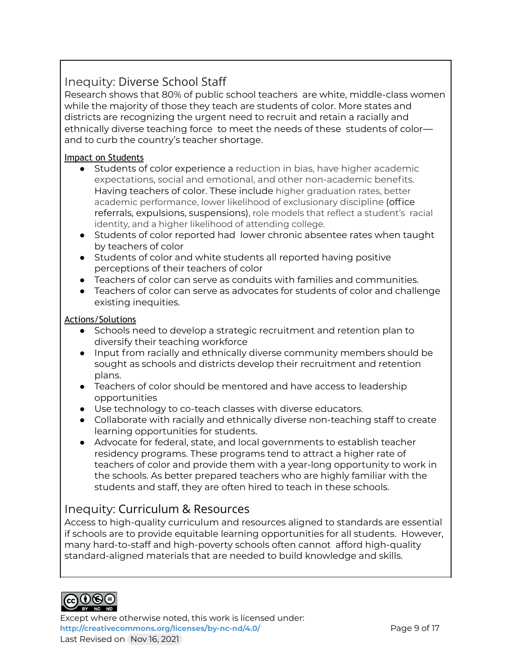## Inequity: Diverse School Staff

Research shows that 80% of public school teachers are white, middle-class women while the majority of those they teach are students of color. More states and districts are recognizing the urgent need to recruit and retain a racially and ethnically diverse teaching force to meet the needs of these students of color and to curb the country's teacher shortage.

#### Impact on Students

- Students of color experience a reduction in bias, have higher academic expectations, social and emotional, and other non-academic benefits. Having teachers of color. These include higher graduation rates, better academic performance, lower likelihood of exclusionary discipline (office referrals, expulsions, suspensions), role models that reflect a student's racial identity, and a higher likelihood of attending college.
- Students of color reported had lower chronic absentee rates when taught by teachers of color
- Students of color and white students all reported having positive perceptions of their teachers of color
- $\bullet$  Teachers of color can serve as conduits with families and communities.
- Teachers of color can serve as advocates for students of color and challenge existing inequities.

#### Actions/Solutions

- Schools need to develop a strategic recruitment and retention plan to diversify their teaching workforce
- Input from racially and ethnically diverse community members should be sought as schools and districts develop their recruitment and retention plans.
- Teachers of color should be mentored and have access to leadership opportunities
- Use technology to co-teach classes with diverse educators.
- Collaborate with racially and ethnically diverse non-teaching staff to create learning opportunities for students.
- Advocate for federal, state, and local governments to establish teacher residency programs. These programs tend to attract a higher rate of teachers of color and provide them with a year-long opportunity to work in the schools. As better prepared teachers who are highly familiar with the students and staff, they are often hired to teach in these schools.

#### Inequity: Curriculum & Resources

Access to high-quality curriculum and resources aligned to standards are essential if schools are to provide equitable learning opportunities for all students. However, many hard-to-staff and high-poverty schools often cannot afford high-quality standard-aligned materials that are needed to build knowledge and skills.



Except where otherwise noted, this work is licensed under: **<http://creativecommons.org/licenses/by-nc-nd/4.0/>** Page 9 of 17 Last Revised on Nov 16, 2021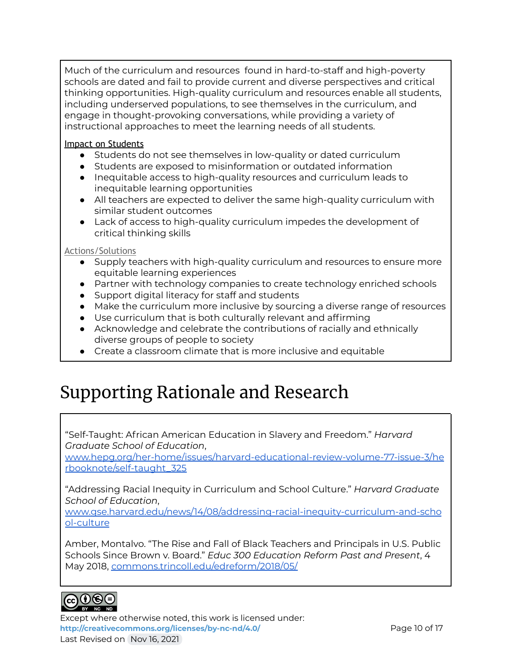Much of the curriculum and resources found in hard-to-staff and high-poverty schools are dated and fail to provide current and diverse perspectives and critical thinking opportunities. High-quality curriculum and resources enable all students, including underserved populations, to see themselves in the curriculum, and engage in thought-provoking conversations, while providing a variety of instructional approaches to meet the learning needs of all students.

#### Impact on Students

- Students do not see themselves in low-quality or dated curriculum
- Students are exposed to misinformation or outdated information
- Inequitable access to high-quality resources and curriculum leads to inequitable learning opportunities
- All teachers are expected to deliver the same high-quality curriculum with similar student outcomes
- Lack of access to high-quality curriculum impedes the development of critical thinking skills

#### Actions/Solutions

- Supply teachers with high-quality curriculum and resources to ensure more equitable learning experiences
- Partner with technology companies to create technology enriched schools
- Support digital literacy for staff and students
- Make the curriculum more inclusive by sourcing a diverse range of resources
- Use curriculum that is both culturally relevant and affirming
- Acknowledge and celebrate the contributions of racially and ethnically diverse groups of people to society
- Create a classroom climate that is more inclusive and equitable

## Supporting Rationale and Research

"Self-Taught: African American Education in Slavery and Freedom." *Harvard Graduate School of Education*,

[www.hepg.org/her-home/issues/harvard-educational-review-volume-77-issue-3/he](http://www.hepg.org/her-home/issues/harvard-educational-review-volume-77-issue-3/herbooknote/self-taught_325) [rbooknote/self-taught\\_325](http://www.hepg.org/her-home/issues/harvard-educational-review-volume-77-issue-3/herbooknote/self-taught_325)

"Addressing Racial Inequity in Curriculum and School Culture." *Harvard Graduate School of Education*,

[www.gse.harvard.edu/news/14/08/addressing-racial-inequity-curriculum-and-scho](http://www.gse.harvard.edu/news/14/08/addressing-racial-inequity-curriculum-and-school-culture) [ol-culture](http://www.gse.harvard.edu/news/14/08/addressing-racial-inequity-curriculum-and-school-culture)

Amber, Montalvo. "The Rise and Fall of Black Teachers and Principals in U.S. Public Schools Since Brown v. Board." *Educ 300 Education Reform Past and Present*, 4 May 2018, [commons.trincoll.edu/edreform/2018/05/](http://commons.trincoll.edu/edreform/2018/05/)



Except where otherwise noted, this work is licensed under: <http://creativecommons.org/licenses/by-nc-nd/4.0/> **Page 10 of 17** Last Revised on Nov 16, 2021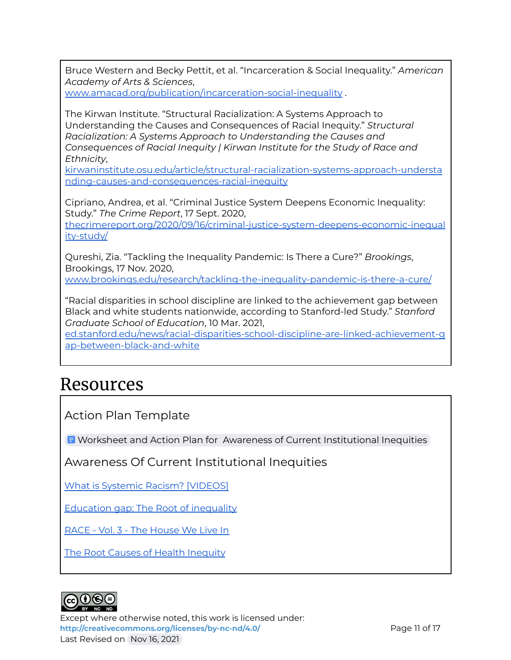Bruce Western and Becky Pettit, et al. "Incarceration & Social Inequality." *American Academy of Arts & Sciences*,

[www.amacad.org/publication/incarceration-social-inequality](http://www.amacad.org/publication/incarceration-social-inequality) .

The Kirwan Institute. "Structural Racialization: A Systems Approach to Understanding the Causes and Consequences of Racial Inequity." *Structural Racialization: A Systems Approach to Understanding the Causes and Consequences of Racial Inequity | Kirwan Institute for the Study of Race and Ethnicity*,

[kirwaninstitute.osu.edu/article/structural-racialization-systems-approach-understa](http://kirwaninstitute.osu.edu/article/structural-racialization-systems-approach-understanding-causes-and-consequences-racial-inequity) [nding-causes-and-consequences-racial-inequity](http://kirwaninstitute.osu.edu/article/structural-racialization-systems-approach-understanding-causes-and-consequences-racial-inequity)

Cipriano, Andrea, et al. "Criminal Justice System Deepens Economic Inequality: Study." *The Crime Report*, 17 Sept. 2020,

[thecrimereport.org/2020/09/16/criminal-justice-system-deepens-economic-inequal](http://thecrimereport.org/2020/09/16/criminal-justice-system-deepens-economic-inequality-study/) [ity-study/](http://thecrimereport.org/2020/09/16/criminal-justice-system-deepens-economic-inequality-study/)

Qureshi, Zia. "Tackling the Inequality Pandemic: Is There a Cure?" *Brookings*, Brookings, 17 Nov. 2020, [www.brookings.edu/research/tackling-the-inequality-pandemic-is-there-a-cure/](http://www.brookings.edu/research/tackling-the-inequality-pandemic-is-there-a-cure/)

"Racial disparities in school discipline are linked to the achievement gap between

Black and white students nationwide, according to Stanford-led Study." *Stanford Graduate School of Education*, 10 Mar. 2021,

[ed.stanford.edu/news/racial-disparities-school-discipline-are-linked-achievement-g](http://ed.stanford.edu/news/racial-disparities-school-discipline-are-linked-achievement-gap-between-black-and-white) [ap-between-black-and-white](http://ed.stanford.edu/news/racial-disparities-school-discipline-are-linked-achievement-gap-between-black-and-white)

## Resources

Action Plan Template

**E** Worksheet and Action Plan for Awareness of Current [Institutional](https://docs.google.com/document/d/1tYK6GX53UWA_XqkkGMm0rZNLxOGvIMsQgS7n1l-Sj_o/edit#) Inequities

Awareness Of Current Institutional Inequities

What is Systemic Racism? [\[VIDEOS\]](https://www.raceforward.org/videos/systemic-racism)

[Education](https://www.youtube.com/watch?v=9lsDJnlJqoY) gap: The Root of inequality

RACE - Vol. 3 - The [House](http://newsreel.org/video/RACE-The-House-We-Live-In) We Live In

The Root Causes of Health [Inequity](https://www.ncbi.nlm.nih.gov/books/NBK425845/)



Except where otherwise noted, this work is licensed under: <http://creativecommons.org/licenses/by-nc-nd/4.0/><br>
Page 11 of 17 Last Revised on Nov 16, 2021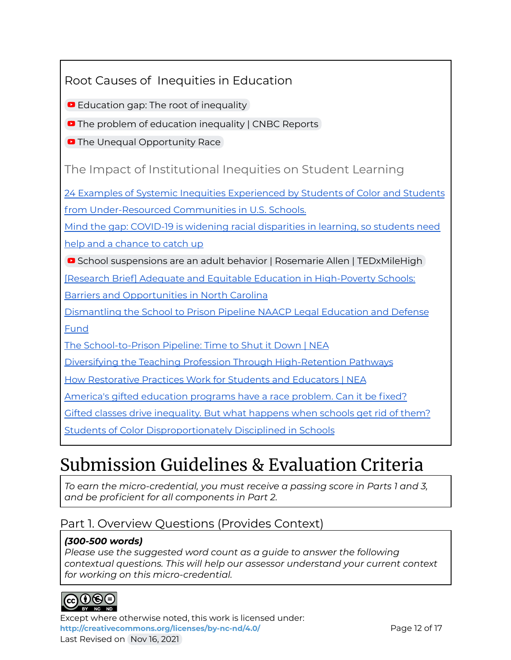### Root Causes of Inequities in Education

**[Education](https://www.youtube.com/watch?v=9lsDJnlJqoY) gap: The root of inequality** 

**•** The problem of [education](https://www.youtube.com/watch?v=T-JVpKku5SI) inequality | CNBC Reports |

**D** The Unequal [Opportunity](https://www.youtube.com/watch?v=vX_Vzl-r8NY) Race

The Impact of Institutional Inequities on Student Learning

24 Examples of Systemic Inequities [Experienced](https://ncsi.wested.org/wp-content/uploads/2020/12/24-Examples-of-Systemic-Inequities-Skelton.pdf) by Students of Color and Students from [Under-Resourced](https://ncsi.wested.org/wp-content/uploads/2020/12/24-Examples-of-Systemic-Inequities-Skelton.pdf) Communities in U.S. Schools.

Mind the gap: COVID-19 is widening racial [disparities](https://www.mckinsey.com/industries/public-and-social-sector/our-insights/covid-19-and-learning-loss-disparities-grow-and-students-need-help#) in learning, so students need

help and a [chance](https://www.mckinsey.com/industries/public-and-social-sector/our-insights/covid-19-and-learning-loss-disparities-grow-and-students-need-help#) to catch up

■ School suspensions are an adult behavior | Rosemarie Allen | [TEDxMileHigh](https://www.youtube.com/watch?v=f8nkcRMZKV4)

[Research Brief] Adequate and Equitable Education in [High-Poverty](https://learningpolicyinstitute.org/sites/default/files/product-files/Leandro_High_Poverty_BRIEF.pdf) Schools:

Barriers and [Opportunities](https://learningpolicyinstitute.org/sites/default/files/product-files/Leandro_High_Poverty_BRIEF.pdf) in North Carolina

[Dismantling](https://www.naacpldf.org/wp-content/uploads/Dismantling_the_School_to_Prison_Pipeline__Criminal-Justice__.pdf) the School to Prison Pipeline NAACP Legal Education and Defense [Fund](https://www.naacpldf.org/wp-content/uploads/Dismantling_the_School_to_Prison_Pipeline__Criminal-Justice__.pdf)

The [School-to-Prison](https://www.nea.org/advocating-for-change/new-from-nea/school-prison-pipeline-time-shut-it-down) Pipeline: Time to Shut it Down | NEA

Diversifying the Teaching Profession Through [High-Retention](https://learningpolicyinstitute.org/sites/default/files/product-files/Diversifying_Teaching_Profession_BRIEF.pdf) Pathways

How [Restorative](https://www.nea.org/advocating-for-change/new-from-nea/how-restorative-practices-work-students-and-educators) Practices Work for Students and Educators | NEA

America's gifted [education](https://www.nbcnews.com/news/education/america-s-gifted-education-programs-have-race-problem-can-it-n1243143) programs have a race problem. Can it be fixed?

Gifted classes drive [inequality.](https://www.nbcnews.com/news/education/gifted-programs-worsen-inequality-here-s-what-happens-when-schools-n1243147) But what happens when schools get rid of them?

Students of Color [Disproportionately](https://www.publicschoolreview.com/blog/students-of-color-disproportionately-disciplined-in-schools) Disciplined in Schools

## Submission Guidelines & Evaluation Criteria

*To earn the micro-credential, you must receive a passing score in Parts 1 and 3, and be proficient for all components in Part 2.*

### Part 1. Overview Questions (Provides Context)

#### *(300-500 words)*

*Please use the suggested word count as a guide to answer the following contextual questions. This will help our assessor understand your current context for working on this micro-credential.*



Except where otherwise noted, this work is licensed under: <http://creativecommons.org/licenses/by-nc-nd/4.0/> **Page 12 of 17** Last Revised on Nov 16, 2021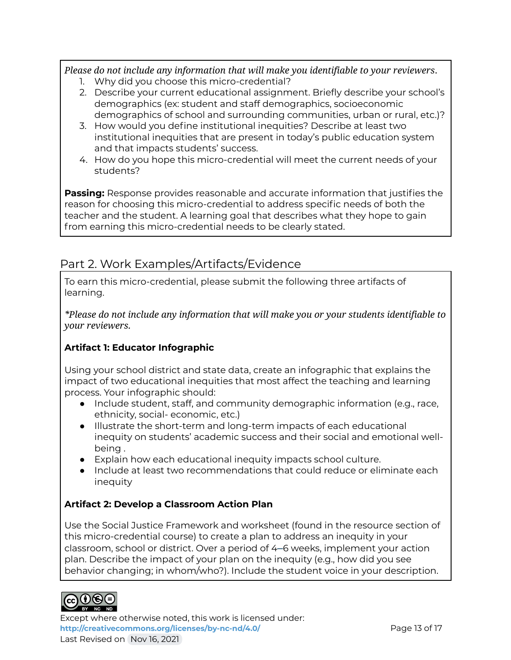*Please do not include any information that will make you identifiable to your reviewers*.

- 1. Why did you choose this micro-credential?
- 2. Describe your current educational assignment. Briefly describe your school's demographics (ex: student and staff demographics, socioeconomic demographics of school and surrounding communities, urban or rural, etc.)?
- 3. How would you define institutional inequities? Describe at least two institutional inequities that are present in today's public education system and that impacts students' success.
- 4. How do you hope this micro-credential will meet the current needs of your students?

**Passing:** Response provides reasonable and accurate information that justifies the reason for choosing this micro-credential to address specific needs of both the teacher and the student. A learning goal that describes what they hope to gain from earning this micro-credential needs to be clearly stated.

## Part 2. Work Examples/Artifacts/Evidence

To earn this micro-credential, please submit the following three artifacts of learning.

*\*Please do not include any information that will make you or your students identifiable to your reviewers.*

#### **Artifact 1: Educator Infographic**

Using your school district and state data, create an infographic that explains the impact of two educational inequities that most affect the teaching and learning process. Your infographic should:

- Include student, staff, and community demographic information (e.g., race, ethnicity, social- economic, etc.)
- Illustrate the short-term and long-term impacts of each educational inequity on students' academic success and their social and emotional wellbeing .
- Explain how each educational inequity impacts school culture.
- Include at least two recommendations that could reduce or eliminate each inequity

#### **Artifact 2: Develop a Classroom Action Plan**

Use the Social Justice Framework and worksheet (found in the resource section of this micro-credential course) to create a plan to address an inequity in your classroom, school or district. Over a period of 4–6 weeks, implement your action plan. Describe the impact of your plan on the inequity (e.g., how did you see behavior changing; in whom/who?). Include the student voice in your description.



Except where otherwise noted, this work is licensed under: <http://creativecommons.org/licenses/by-nc-nd/4.0/><br>
Page 13 of 17 Last Revised on Nov 16, 2021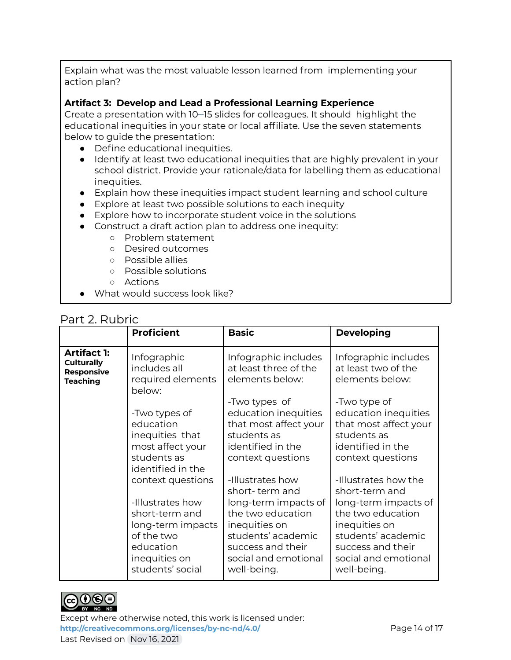Explain what was the most valuable lesson learned from implementing your action plan?

#### **Artifact 3: Develop and Lead a Professional Learning Experience**

Create a presentation with 10–15 slides for colleagues. It should highlight the educational inequities in your state or local affiliate. Use the seven statements below to guide the presentation:

- Define educational inequities.
- Identify at least two educational inequities that are highly prevalent in your school district. Provide your rationale/data for labelling them as educational inequities.
- Explain how these inequities impact student learning and school culture
- Explore at least two possible solutions to each inequity
- Explore how to incorporate student voice in the solutions
- Construct a draft action plan to address one inequity:
	- Problem statement
	- Desired outcomes
	- Possible allies
	- Possible solutions
	- Actions
- What would success look like?

#### Part 2. Rubric

|                                                                                 | <b>Proficient</b>                                                                                                                            | <b>Basic</b>                                                                                                                                                                       | <b>Developing</b>                                                                                                                                                                      |
|---------------------------------------------------------------------------------|----------------------------------------------------------------------------------------------------------------------------------------------|------------------------------------------------------------------------------------------------------------------------------------------------------------------------------------|----------------------------------------------------------------------------------------------------------------------------------------------------------------------------------------|
| <b>Artifact 1:</b><br><b>Culturally</b><br><b>Responsive</b><br><b>Teaching</b> | Infographic<br>includes all<br>required elements<br>below:                                                                                   | Infographic includes<br>at least three of the<br>elements below:                                                                                                                   | Infographic includes<br>at least two of the<br>elements below:                                                                                                                         |
|                                                                                 | -Two types of<br>education<br>inequities that<br>most affect your<br>students as<br>identified in the                                        | -Two types of<br>education inequities<br>that most affect your<br>students as<br>identified in the<br>context questions                                                            | -Two type of<br>education inequities<br>that most affect your<br>students as<br>identified in the<br>context questions                                                                 |
|                                                                                 | context questions<br>-Illustrates how<br>short-term and<br>long-term impacts<br>of the two<br>education<br>inequities on<br>students' social | -Illustrates how<br>short-term and<br>long-term impacts of<br>the two education<br>inequities on<br>students' academic<br>success and their<br>social and emotional<br>well-being. | -Illustrates how the<br>short-term and<br>long-term impacts of<br>the two education<br>inequities on<br>students' academic<br>success and their<br>social and emotional<br>well-being. |



Except where otherwise noted, this work is licensed under: <http://creativecommons.org/licenses/by-nc-nd/4.0/><br>Page 14 of 17 Last Revised on Nov 16, 2021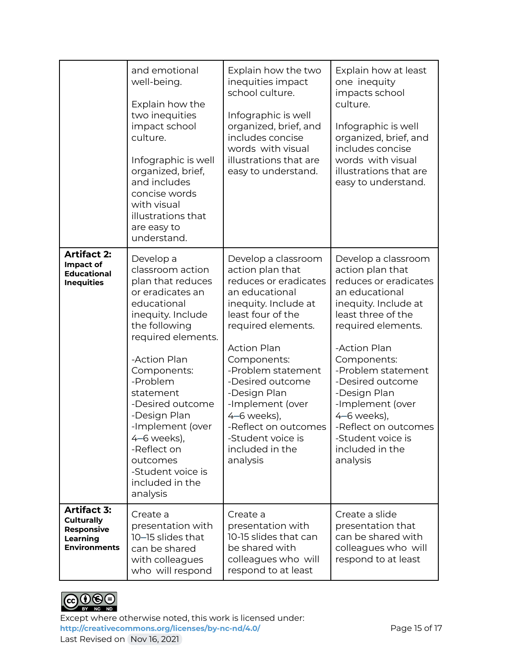|                                                                                                 | and emotional<br>well-being.<br>Explain how the<br>two inequities<br>impact school<br>culture.<br>Infographic is well<br>organized, brief,<br>and includes<br>concise words<br>with visual<br>illustrations that<br>are easy to<br>understand.                                                                                                                  | Explain how the two<br>inequities impact<br>school culture.<br>Infographic is well<br>organized, brief, and<br>includes concise<br>words with visual<br>illustrations that are<br>easy to understand.                                                                                                                                                               | Explain how at least<br>one inequity<br>impacts school<br>culture.<br>Infographic is well<br>organized, brief, and<br>includes concise<br>words with visual<br>illustrations that are<br>easy to understand.                                                                                                                                                   |
|-------------------------------------------------------------------------------------------------|-----------------------------------------------------------------------------------------------------------------------------------------------------------------------------------------------------------------------------------------------------------------------------------------------------------------------------------------------------------------|---------------------------------------------------------------------------------------------------------------------------------------------------------------------------------------------------------------------------------------------------------------------------------------------------------------------------------------------------------------------|----------------------------------------------------------------------------------------------------------------------------------------------------------------------------------------------------------------------------------------------------------------------------------------------------------------------------------------------------------------|
| <b>Artifact 2:</b><br>Impact of<br><b>Educational</b><br><b>Inequities</b>                      | Develop a<br>classroom action<br>plan that reduces<br>or eradicates an<br>educational<br>inequity. Include<br>the following<br>required elements.<br>-Action Plan<br>Components:<br>-Problem<br>statement<br>-Desired outcome<br>-Design Plan<br>-Implement (over<br>4–6 weeks),<br>-Reflect on<br>outcomes<br>-Student voice is<br>included in the<br>analysis | Develop a classroom<br>action plan that<br>reduces or eradicates<br>an educational<br>inequity. Include at<br>least four of the<br>required elements.<br><b>Action Plan</b><br>Components:<br>-Problem statement<br>-Desired outcome<br>-Design Plan<br>-Implement (over<br>4-6 weeks),<br>-Reflect on outcomes<br>-Student voice is<br>included in the<br>analysis | Develop a classroom<br>action plan that<br>reduces or eradicates<br>an educational<br>inequity. Include at<br>least three of the<br>required elements.<br>-Action Plan<br>Components:<br>-Problem statement<br>-Desired outcome<br>-Design Plan<br>-Implement (over<br>4-6 weeks),<br>-Reflect on outcomes<br>-Student voice is<br>included in the<br>analysis |
| <b>Artifact 3:</b><br><b>Culturally</b><br><b>Responsive</b><br>Learning<br><b>Environments</b> | Create a<br>presentation with<br>10-15 slides that<br>can be shared<br>with colleagues<br>who will respond                                                                                                                                                                                                                                                      | Create a<br>presentation with<br>10-15 slides that can<br>be shared with<br>colleagues who will<br>respond to at least                                                                                                                                                                                                                                              | Create a slide<br>presentation that<br>can be shared with<br>colleagues who will<br>respond to at least                                                                                                                                                                                                                                                        |



Except where otherwise noted, this work is licensed under: <http://creativecommons.org/licenses/by-nc-nd/4.0/><br>
Page 15 of 17 Last Revised on Nov 16, 2021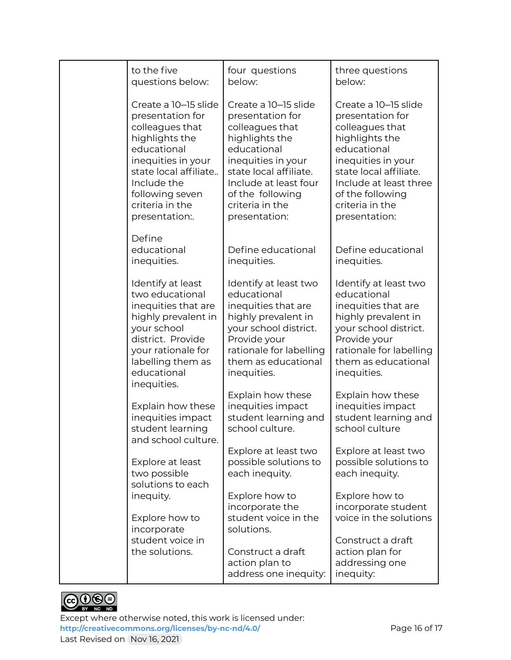| to the five                                                                                                                                                                                     | four questions                                                                                                                                                                               | three questions                                                                                                                                                                              |
|-------------------------------------------------------------------------------------------------------------------------------------------------------------------------------------------------|----------------------------------------------------------------------------------------------------------------------------------------------------------------------------------------------|----------------------------------------------------------------------------------------------------------------------------------------------------------------------------------------------|
| questions below:                                                                                                                                                                                | below:                                                                                                                                                                                       | below:                                                                                                                                                                                       |
| Create a 10-15 slide                                                                                                                                                                            | Create a 10-15 slide                                                                                                                                                                         | Create a 10-15 slide                                                                                                                                                                         |
| presentation for                                                                                                                                                                                | presentation for                                                                                                                                                                             | presentation for                                                                                                                                                                             |
| colleagues that                                                                                                                                                                                 | colleagues that                                                                                                                                                                              | colleagues that                                                                                                                                                                              |
| highlights the                                                                                                                                                                                  | highlights the                                                                                                                                                                               | highlights the                                                                                                                                                                               |
| educational                                                                                                                                                                                     | educational                                                                                                                                                                                  | educational                                                                                                                                                                                  |
| inequities in your                                                                                                                                                                              | inequities in your                                                                                                                                                                           | inequities in your                                                                                                                                                                           |
| state local affiliate                                                                                                                                                                           | state local affiliate.                                                                                                                                                                       | state local affiliate.                                                                                                                                                                       |
| Include the                                                                                                                                                                                     | Include at least four                                                                                                                                                                        | Include at least three                                                                                                                                                                       |
| following seven                                                                                                                                                                                 | of the following                                                                                                                                                                             | of the following                                                                                                                                                                             |
| criteria in the                                                                                                                                                                                 | criteria in the                                                                                                                                                                              | criteria in the                                                                                                                                                                              |
| presentation:.                                                                                                                                                                                  | presentation:                                                                                                                                                                                | presentation:                                                                                                                                                                                |
| Define<br>educational<br>inequities.                                                                                                                                                            | Define educational<br>inequities.                                                                                                                                                            | Define educational<br>inequities.                                                                                                                                                            |
| Identify at least<br>two educational<br>inequities that are<br>highly prevalent in<br>your school<br>district. Provide<br>your rationale for<br>labelling them as<br>educational<br>inequities. | Identify at least two<br>educational<br>inequities that are<br>highly prevalent in<br>your school district.<br>Provide your<br>rationale for labelling<br>them as educational<br>inequities. | Identify at least two<br>educational<br>inequities that are<br>highly prevalent in<br>your school district.<br>Provide your<br>rationale for labelling<br>them as educational<br>inequities. |
| Explain how these                                                                                                                                                                               | Explain how these                                                                                                                                                                            | Explain how these                                                                                                                                                                            |
| inequities impact                                                                                                                                                                               | inequities impact                                                                                                                                                                            | inequities impact                                                                                                                                                                            |
| student learning                                                                                                                                                                                | student learning and                                                                                                                                                                         | student learning and                                                                                                                                                                         |
| and school culture.                                                                                                                                                                             | school culture.                                                                                                                                                                              | school culture                                                                                                                                                                               |
| Explore at least                                                                                                                                                                                | Explore at least two                                                                                                                                                                         | Explore at least two                                                                                                                                                                         |
| two possible                                                                                                                                                                                    | possible solutions to                                                                                                                                                                        | possible solutions to                                                                                                                                                                        |
| solutions to each                                                                                                                                                                               | each inequity.                                                                                                                                                                               | each inequity.                                                                                                                                                                               |
| inequity.<br>Explore how to<br>incorporate                                                                                                                                                      | Explore how to<br>incorporate the<br>student voice in the<br>solutions.                                                                                                                      | Explore how to<br>incorporate student<br>voice in the solutions                                                                                                                              |
| student voice in<br>the solutions.                                                                                                                                                              | Construct a draft<br>action plan to<br>address one inequity:                                                                                                                                 |                                                                                                                                                                                              |



Except where otherwise noted, this work is licensed under: <http://creativecommons.org/licenses/by-nc-nd/4.0/><br>
Page 16 of 17 Last Revised on Nov 16, 2021